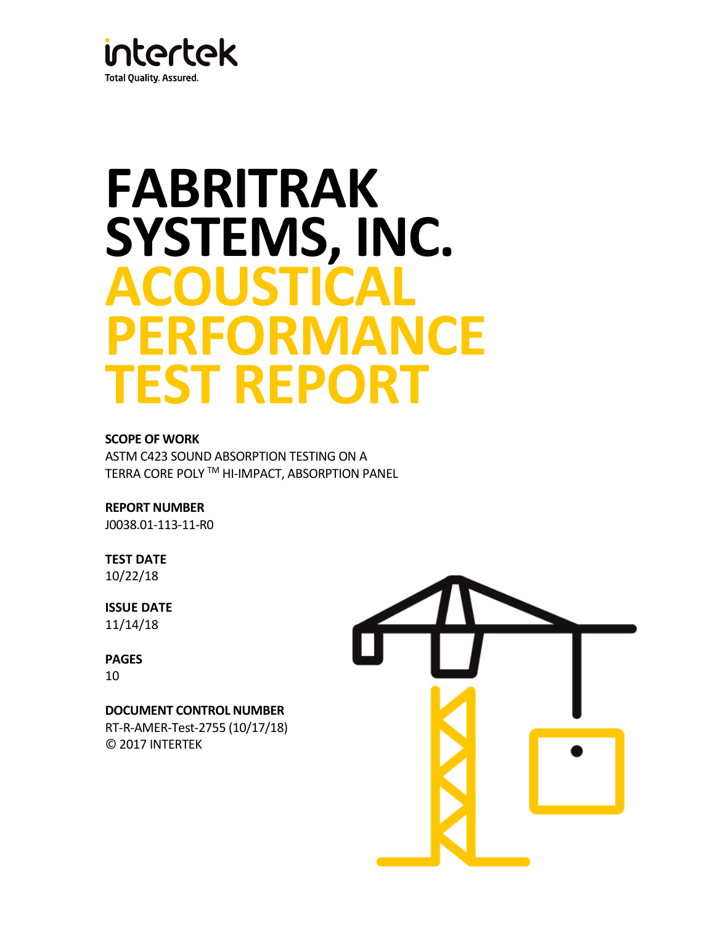

# **FABRITRAK SYSTEMS, INC. ACOUSTICAL PERFORMANCE TEST REPORT**

# **SCOPE OF WORK**

ASTM C423 SOUND ABSORPTION TESTING ON A TERRA CORE POLY TM HI-IMPACT, ABSORPTION PANEL

**REPORT NUMBER**

J0038.01-113-11-R0

# **TEST DATE** 10/22/18

**ISSUE DATE** 11/14/18

**PAGES** 10

# **DOCUMENT CONTROL NUMBER**

RT-R-AMER-Test-2755 (10/17/18) © 2017 INTERTEK

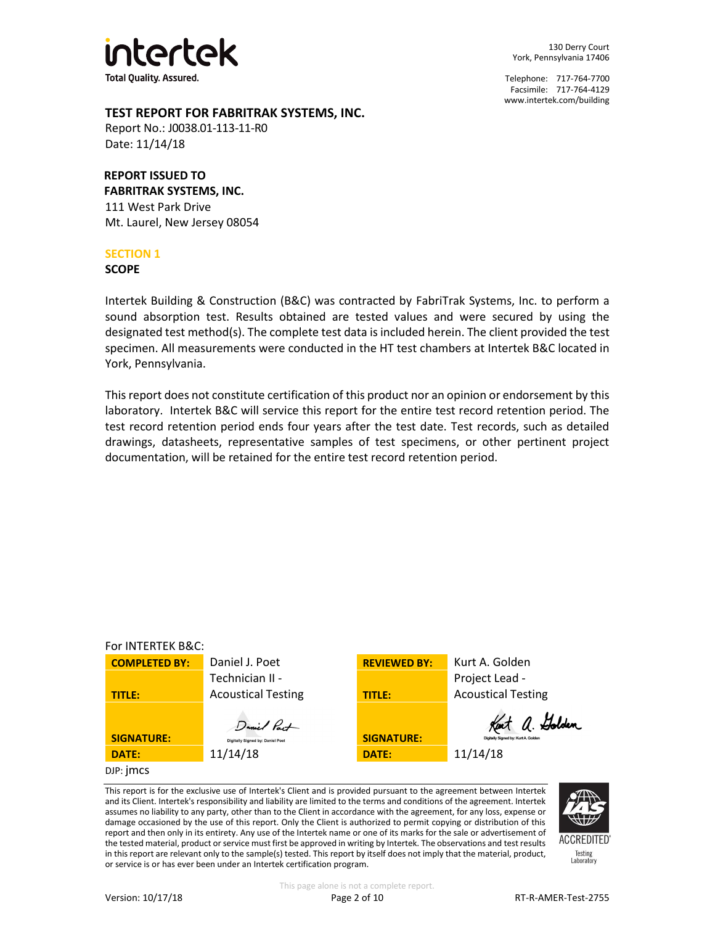

130 Derry Court York, Pennsylvania 17406

Telephone: 717-764-7700 Facsimile: 717-764-4129 [www.intertek.com/building](http://www.intertek.com/building)

# **TEST REPORT FOR FABRITRAK SYSTEMS, INC.**

Report No.: J0038.01-113-11-R0 Date: 11/14/18

# **REPORT ISSUED TO**

**FABRITRAK SYSTEMS, INC.** 111 West Park Drive Mt. Laurel, New Jersey 08054

## **SECTION 1**

**SCOPE**

Intertek Building & Construction (B&C) was contracted by FabriTrak Systems, Inc. to perform a sound absorption test. Results obtained are tested values and were secured by using the designated test method(s). The complete test data is included herein. The client provided the test specimen. All measurements were conducted in the HT test chambers at Intertek B&C located in York, Pennsylvania.

This report does not constitute certification of this product nor an opinion or endorsement by this laboratory. Intertek B&C will service this report for the entire test record retention period. The test record retention period ends four years after the test date. Test records, such as detailed drawings, datasheets, representative samples of test specimens, or other pertinent project documentation, will be retained for the entire test record retention period.



This report is for the exclusive use of Intertek's Client and is provided pursuant to the agreement between Intertek and its Client. Intertek's responsibility and liability are limited to the terms and conditions of the agreement. Intertek assumes no liability to any party, other than to the Client in accordance with the agreement, for any loss, expense or damage occasioned by the use of this report. Only the Client is authorized to permit copying or distribution of this report and then only in its entirety. Any use of the Intertek name or one of its marks for the sale or advertisement of the tested material, product or service must first be approved in writing by Intertek. The observations and test results in this report are relevant only to the sample(s) tested. This report by itself does not imply that the material, product, or service is or has ever been under an Intertek certification program.



**ACCREDITED** Testing<br>Laboratory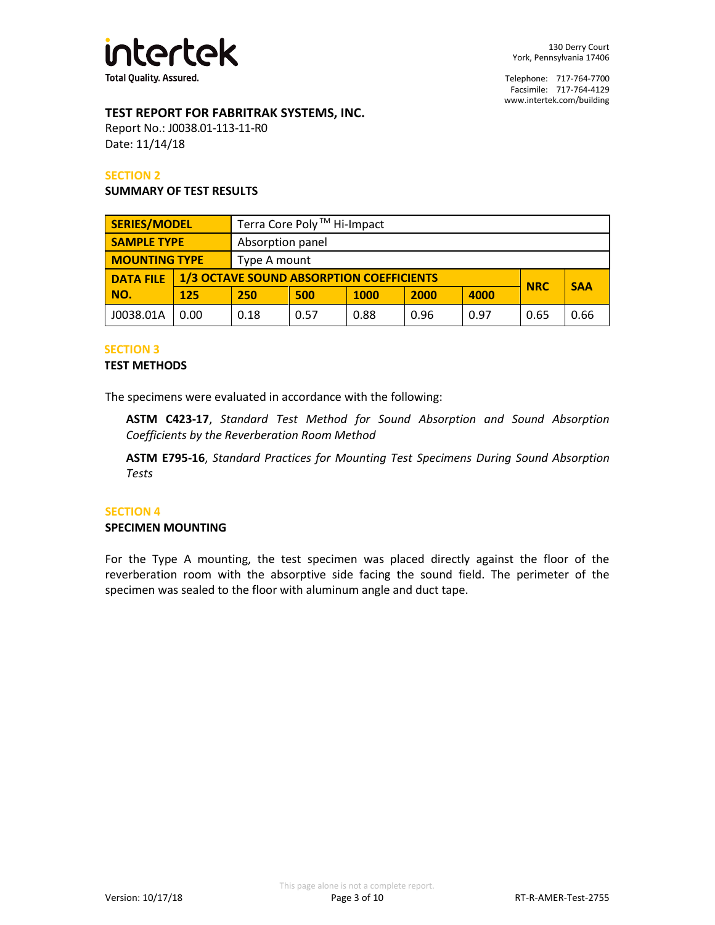

# **TEST REPORT FOR FABRITRAK SYSTEMS, INC.**

Report No.: J0038.01-113-11-R0 Date: 11/14/18

#### **SECTION 2**

#### **SUMMARY OF TEST RESULTS**

| <b>SERIES/MODEL</b>  |      | Terra Core Poly <sup>™</sup> Hi-Impact          |              |             |      |      |            |      |
|----------------------|------|-------------------------------------------------|--------------|-------------|------|------|------------|------|
| <b>SAMPLE TYPE</b>   |      | Absorption panel                                |              |             |      |      |            |      |
| <b>MOUNTING TYPE</b> |      |                                                 | Type A mount |             |      |      |            |      |
| <b>DATA FILE</b>     |      | <b>1/3 OCTAVE SOUND ABSORPTION COEFFICIENTS</b> |              |             |      |      | <b>SAA</b> |      |
| NO.                  | 125  | 250                                             | 500          | <b>1000</b> | 2000 | 4000 | <b>NRC</b> |      |
| J0038.01A            | 0.00 | 0.18                                            | 0.57         | 0.88        | 0.96 | 0.97 | 0.65       | 0.66 |

#### **SECTION 3**

#### **TEST METHODS**

The specimens were evaluated in accordance with the following:

**ASTM C423-17**, *Standard Test Method for Sound Absorption and Sound Absorption Coefficients by the Reverberation Room Method*

**ASTM E795-16**, *Standard Practices for Mounting Test Specimens During Sound Absorption Tests*

#### **SECTION 4**

#### **SPECIMEN MOUNTING**

For the Type A mounting, the test specimen was placed directly against the floor of the reverberation room with the absorptive side facing the sound field. The perimeter of the specimen was sealed to the floor with aluminum angle and duct tape.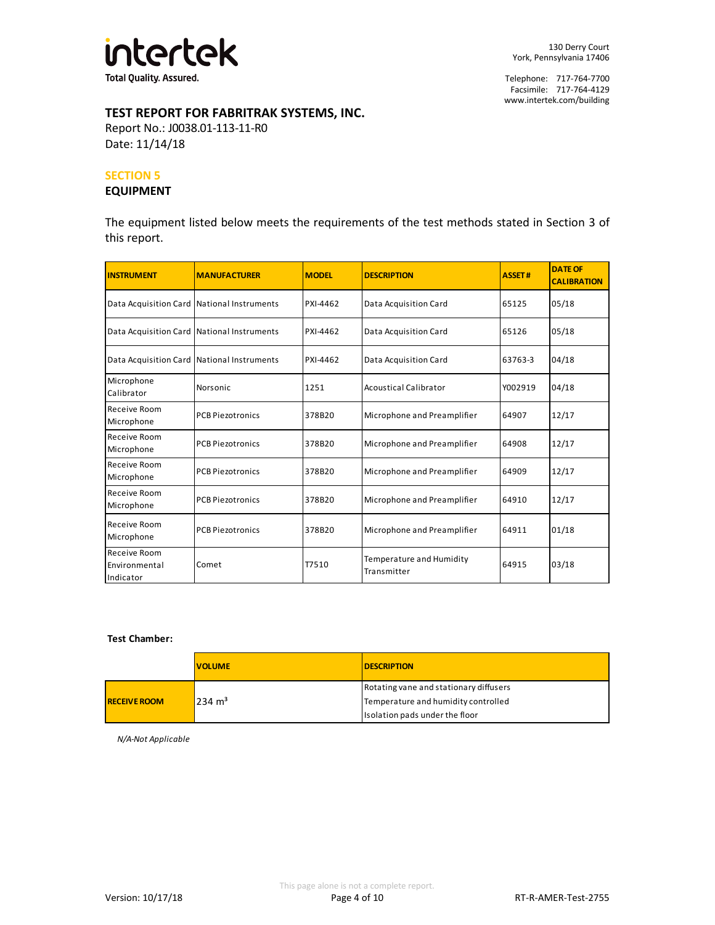

# **TEST REPORT FOR FABRITRAK SYSTEMS, INC.**

Report No.: J0038.01-113-11-R0 Date: 11/14/18

#### **SECTION 5**

#### **EQUIPMENT**

The equipment listed below meets the requirements of the test methods stated in Section 3 of this report.

| <b>INSTRUMENT</b>                          | <b>MANUFACTURER</b>     | <b>MODEL</b> | <b>DESCRIPTION</b>                      | <b>ASSET#</b> | <b>DATE OF</b><br><b>CALIBRATION</b> |
|--------------------------------------------|-------------------------|--------------|-----------------------------------------|---------------|--------------------------------------|
| Data Acquisition Card National Instruments |                         | PXI-4462     | Data Acquisition Card                   | 65125         | 05/18                                |
| Data Acquisition Card National Instruments |                         | PXI-4462     | Data Acquisition Card                   | 65126         | 05/18                                |
| Data Acquisition Card National Instruments |                         | PXI-4462     | Data Acquisition Card                   | 63763-3       | 04/18                                |
| Microphone<br>Calibrator                   | Norsonic                | 1251         | <b>Acoustical Calibrator</b>            | Y002919       | 04/18                                |
| Receive Room<br>Microphone                 | <b>PCB Piezotronics</b> | 378B20       | Microphone and Preamplifier             | 64907         | 12/17                                |
| Receive Room<br>Microphone                 | <b>PCB Piezotronics</b> | 378B20       | Microphone and Preamplifier             | 64908         | 12/17                                |
| Receive Room<br>Microphone                 | <b>PCB Piezotronics</b> | 378B20       | Microphone and Preamplifier             | 64909         | 12/17                                |
| Receive Room<br>Microphone                 | <b>PCB Piezotronics</b> | 378B20       | Microphone and Preamplifier             | 64910         | 12/17                                |
| Receive Room<br>Microphone                 | <b>PCB Piezotronics</b> | 378B20       | Microphone and Preamplifier             | 64911         | 01/18                                |
| Receive Room<br>Environmental<br>Indicator | Comet                   | T7510        | Temperature and Humidity<br>Transmitter | 64915         | 03/18                                |

#### **Test Chamber:**

|                                          | <b>VOLUME</b> | <b>DESCRIPTION</b>                     |
|------------------------------------------|---------------|----------------------------------------|
|                                          |               | Rotating vane and stationary diffusers |
| $234 \text{ m}^3$<br><b>RECEIVE ROOM</b> |               | Temperature and humidity controlled    |
|                                          |               | Isolation pads under the floor         |

*N/A-Not Applicable*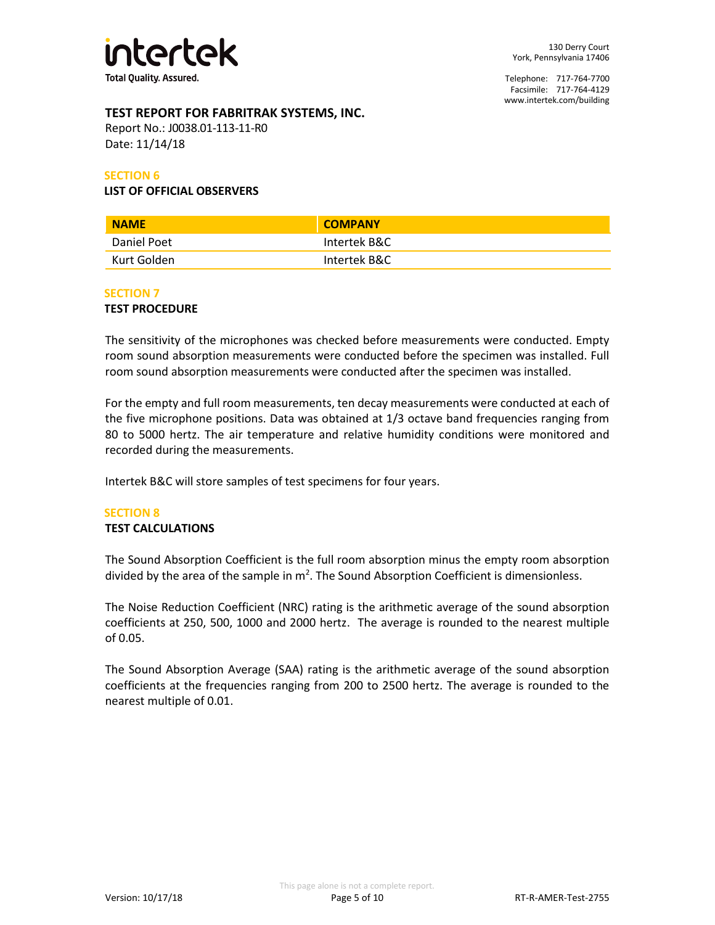

# **TEST REPORT FOR FABRITRAK SYSTEMS, INC.**

Report No.: J0038.01-113-11-R0 Date: 11/14/18

#### **SECTION 6**

#### **LIST OF OFFICIAL OBSERVERS**

| <b>NAME</b> | <b>COMPANY</b> |
|-------------|----------------|
| Daniel Poet | Intertek B&C   |
| Kurt Golden | Intertek B&C   |

#### **SECTION 7**

#### **TEST PROCEDURE**

The sensitivity of the microphones was checked before measurements were conducted. Empty room sound absorption measurements were conducted before the specimen was installed. Full room sound absorption measurements were conducted after the specimen was installed.

For the empty and full room measurements, ten decay measurements were conducted at each of the five microphone positions. Data was obtained at 1/3 octave band frequencies ranging from 80 to 5000 hertz. The air temperature and relative humidity conditions were monitored and recorded during the measurements.

Intertek B&C will store samples of test specimens for four years.

## **SECTION 8**

#### **TEST CALCULATIONS**

The Sound Absorption Coefficient is the full room absorption minus the empty room absorption divided by the area of the sample in  $m^2$ . The Sound Absorption Coefficient is dimensionless.

The Noise Reduction Coefficient (NRC) rating is the arithmetic average of the sound absorption coefficients at 250, 500, 1000 and 2000 hertz. The average is rounded to the nearest multiple of 0.05.

The Sound Absorption Average (SAA) rating is the arithmetic average of the sound absorption coefficients at the frequencies ranging from 200 to 2500 hertz. The average is rounded to the nearest multiple of 0.01.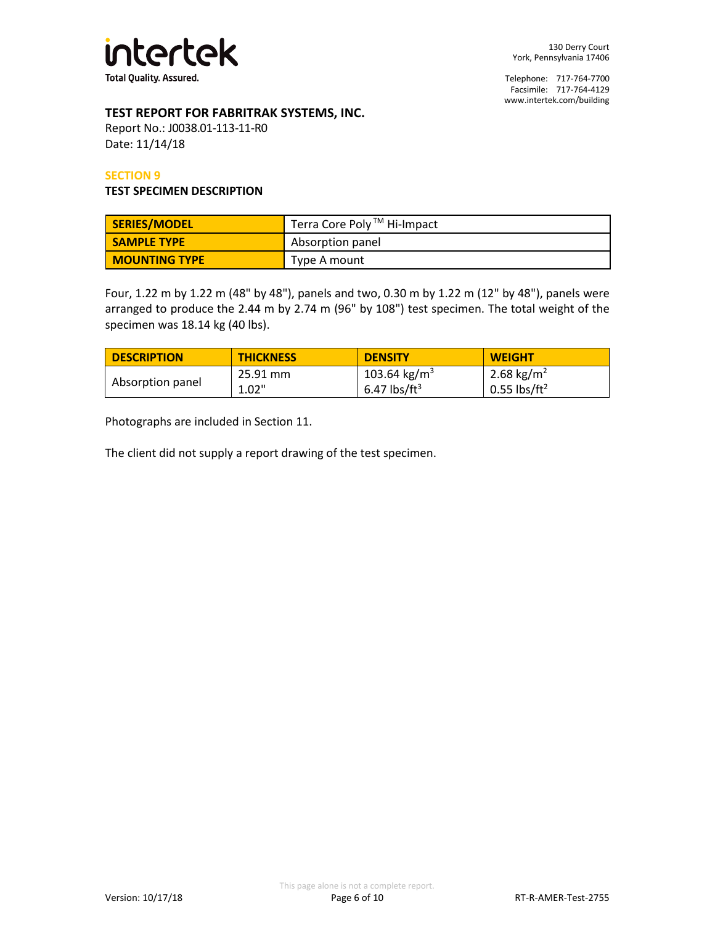

# **TEST REPORT FOR FABRITRAK SYSTEMS, INC.**

Report No.: J0038.01-113-11-R0 Date: 11/14/18

#### **SECTION 9**

#### **TEST SPECIMEN DESCRIPTION**

| SERIES/MODEL         | Terra Core Poly ™ Hi-Impact |
|----------------------|-----------------------------|
| <b>SAMPLE TYPE</b>   | Absorption panel            |
| <b>MOUNTING TYPE</b> | Type A mount                |

Four, 1.22 m by 1.22 m (48" by 48"), panels and two, 0.30 m by 1.22 m (12" by 48"), panels were arranged to produce the 2.44 m by 2.74 m (96" by 108") test specimen. The total weight of the specimen was 18.14 kg (40 lbs).

| <b>DESCRIPTION</b> | <b>THICKNESS</b> | <b>DENSITY</b>           | <b>WEIGHT</b>              |
|--------------------|------------------|--------------------------|----------------------------|
|                    | 25.91 mm         | 103.64 kg/m <sup>3</sup> | 2.68 kg/m <sup>2</sup>     |
| Absorption panel   | 1.02"            | 6.47 lbs/ft <sup>3</sup> | $0.55$ lbs/ft <sup>2</sup> |

Photographs are included in Section 11.

The client did not supply a report drawing of the test specimen.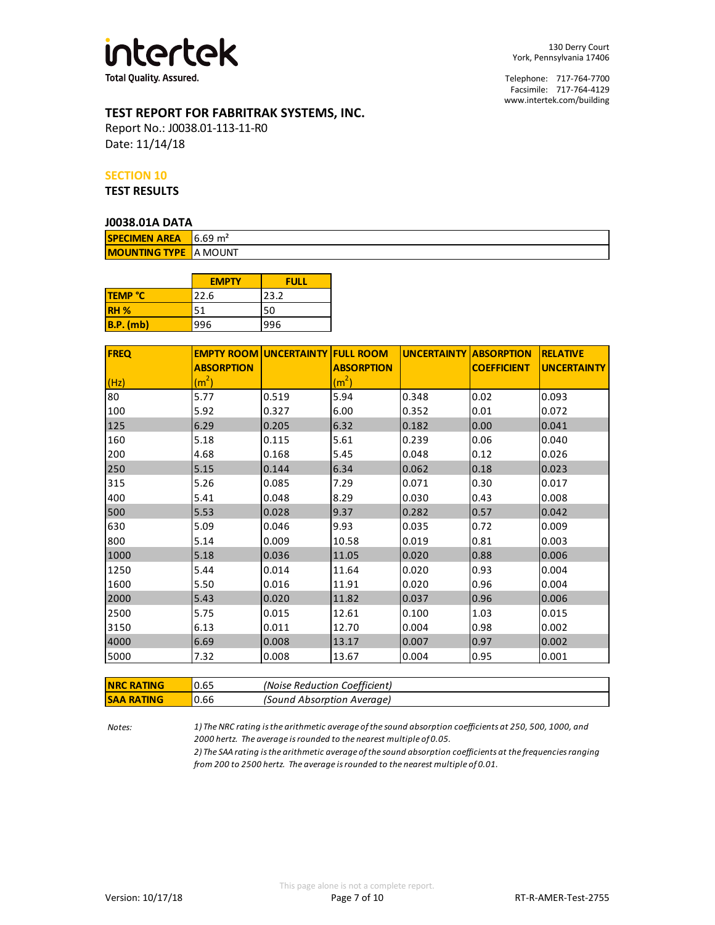

# **TEST REPORT FOR FABRITRAK SYSTEMS, INC.**

Report No.: J0038.01-113-11-R0 Date: 11/14/18

#### **SECTION 10**

**TEST RESULTS**

#### **J0038.01A DATA**

| <b>SPECIMEN AREA</b> 6.69 $m2$ |  |  |  |  |  |  |
|--------------------------------|--|--|--|--|--|--|
| <b>MOUNTING TYPE IA MOUNT</b>  |  |  |  |  |  |  |

|                | <b>EMPTY</b> | <b>FULL</b> |
|----------------|--------------|-------------|
| <b>TEMP °C</b> | 22.6         | 23.2        |
| <b>RH %</b>    | 51           | 50          |
| $B.P.$ (mb)    | 996          | 996         |

| <b>FREQ</b> |                   | <b>EMPTY ROOM UNCERTAINTY FULL ROOM</b> |                   | <b>UNCERTAINTY ABSORPTION</b> |                    | <b>RELATIVE</b>    |
|-------------|-------------------|-----------------------------------------|-------------------|-------------------------------|--------------------|--------------------|
|             | <b>ABSORPTION</b> |                                         | <b>ABSORPTION</b> |                               | <b>COEFFICIENT</b> | <b>UNCERTAINTY</b> |
| (Hz)        | (m <sup>2</sup> ) |                                         | (m <sup>2</sup> ) |                               |                    |                    |
| 80          | 5.77              | 0.519                                   | 5.94              | 0.348                         | 0.02               | 0.093              |
| 100         | 5.92              | 0.327                                   | 6.00              | 0.352                         | 0.01               | 0.072              |
| 125         | 6.29              | 0.205                                   | 6.32              | 0.182                         | 0.00               | 0.041              |
| 160         | 5.18              | 0.115                                   | 5.61              | 0.239                         | 0.06               | 0.040              |
| 200         | 4.68              | 0.168                                   | 5.45              | 0.048                         | 0.12               | 0.026              |
| 250         | 5.15              | 0.144                                   | 6.34              | 0.062                         | 0.18               | 0.023              |
| 315         | 5.26              | 0.085                                   | 7.29              | 0.071                         | 0.30               | 0.017              |
| 400         | 5.41              | 0.048                                   | 8.29              | 0.030                         | 0.43               | 0.008              |
| 500         | 5.53              | 0.028                                   | 9.37              | 0.282                         | 0.57               | 0.042              |
| 630         | 5.09              | 0.046                                   | 9.93              | 0.035                         | 0.72               | 0.009              |
| 800         | 5.14              | 0.009                                   | 10.58             | 0.019                         | 0.81               | 0.003              |
| 1000        | 5.18              | 0.036                                   | 11.05             | 0.020                         | 0.88               | 0.006              |
| 1250        | 5.44              | 0.014                                   | 11.64             | 0.020                         | 0.93               | 0.004              |
| 1600        | 5.50              | 0.016                                   | 11.91             | 0.020                         | 0.96               | 0.004              |
| 2000        | 5.43              | 0.020                                   | 11.82             | 0.037                         | 0.96               | 0.006              |
| 2500        | 5.75              | 0.015                                   | 12.61             | 0.100                         | 1.03               | 0.015              |
| 3150        | 6.13              | 0.011                                   | 12.70             | 0.004                         | 0.98               | 0.002              |
| 4000        | 6.69              | 0.008                                   | 13.17             | 0.007                         | 0.97               | 0.002              |
| 5000        | 7.32              | 0.008                                   | 13.67             | 0.004                         | 0.95               | 0.001              |

| <b>INRC RATING</b> | 0.65 | (Noise Reduction Coefficient) |
|--------------------|------|-------------------------------|
| <b>ISAA RATING</b> | 0.66 | (Sound Absorption Average)    |

*Notes: 1) The NRC rating is the arithmetic average of the sound absorption coefficients at 250, 500, 1000, and 2000 hertz. The average is rounded to the nearest multiple of 0.05.*

*2) The SAA rating is the arithmetic average of the sound absorption coefficients at the frequencies ranging from 200 to 2500 hertz. The average is rounded to the nearest multiple of 0.01.*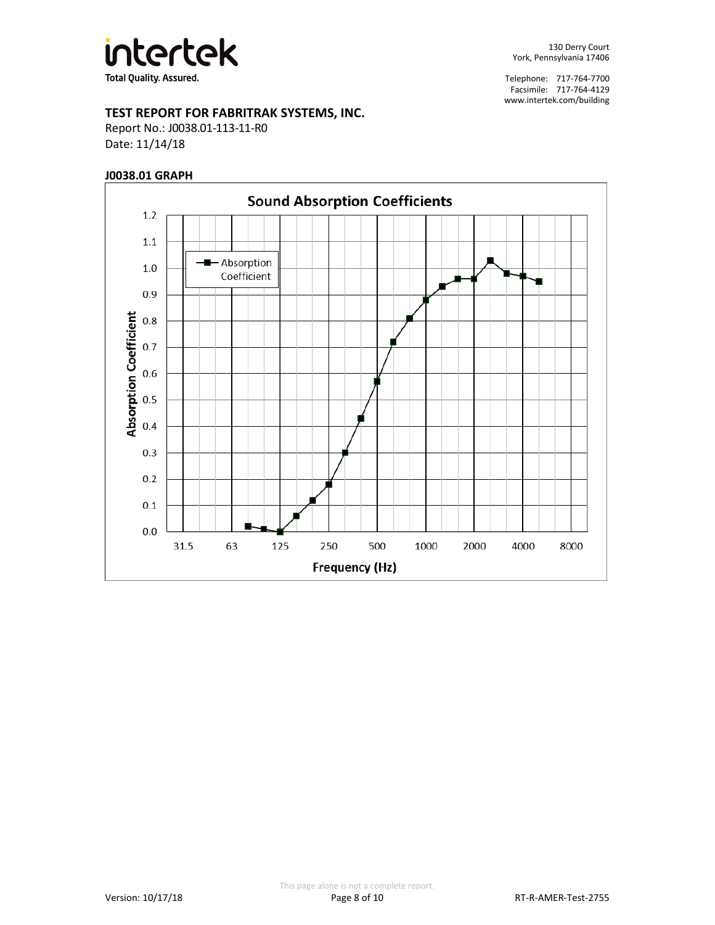

# **TEST REPORT FOR FABRITRAK SYSTEMS, INC.**

Report No.: J0038.01-113-11-R0 Date: 11/14/18

### **J0038.01 GRAPH**

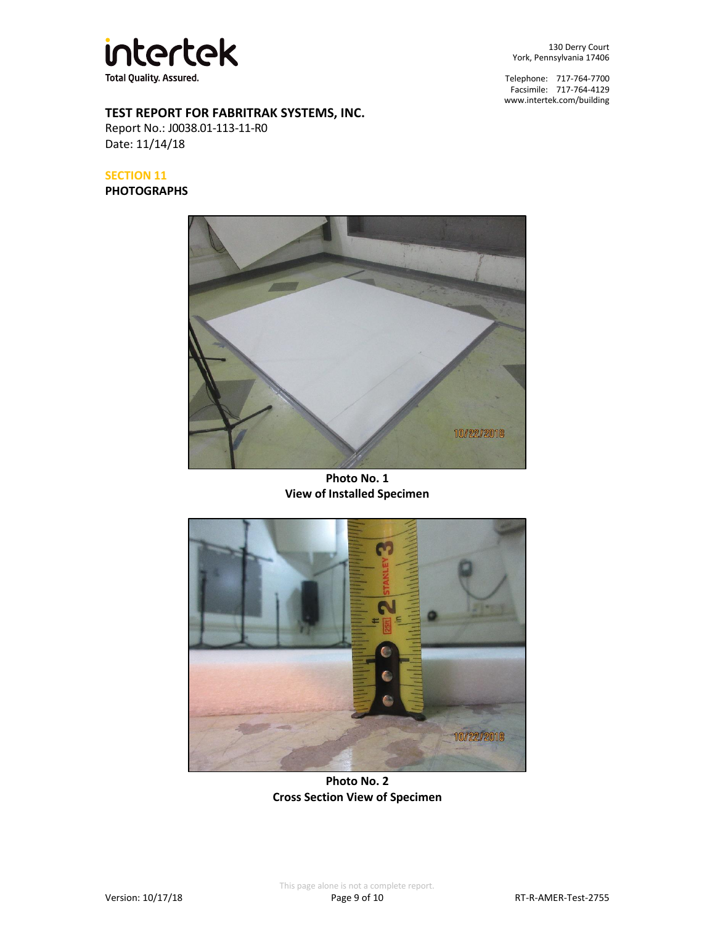

130 Derry Court York, Pennsylvania 17406

Telephone: 717-764-7700 Facsimile: 717-764-4129 [www.intertek.com/building](http://www.intertek.com/building)

# **TEST REPORT FOR FABRITRAK SYSTEMS, INC.**

Report No.: J0038.01-113-11-R0 Date: 11/14/18

**SECTION 11**

**PHOTOGRAPHS**



**Photo No. 1 View of Installed Specimen**



**Photo No. 2 Cross Section View of Specimen**